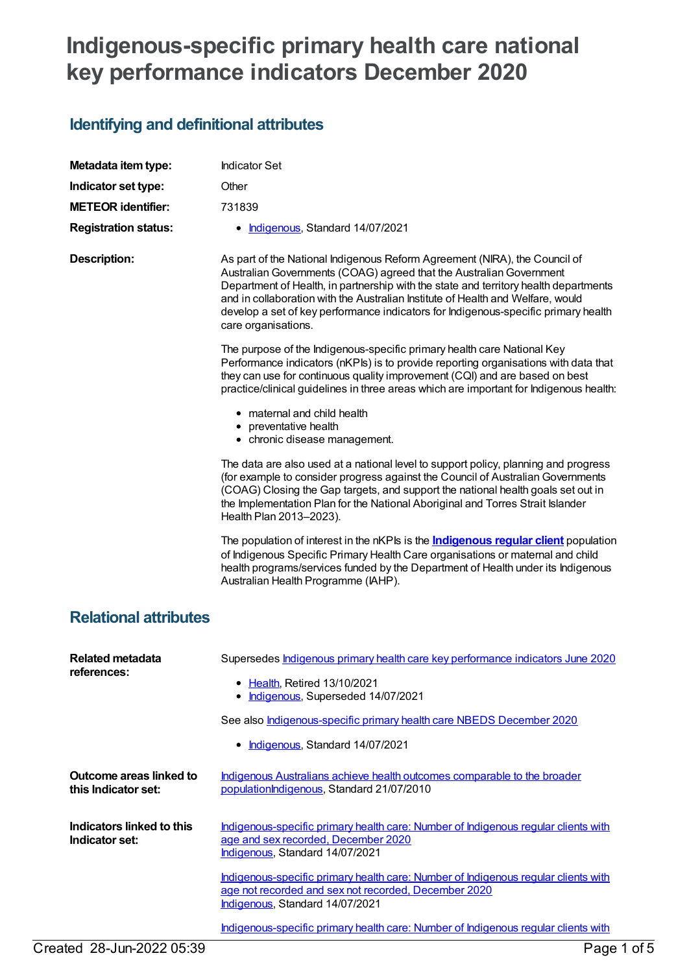## **Indigenous-specific primary health care national key performance indicators December 2020**

## **Identifying and definitional attributes**

| Metadata item type:                            | <b>Indicator Set</b>                                                                                                                                                                                                                                                                                                                                                                                                                      |
|------------------------------------------------|-------------------------------------------------------------------------------------------------------------------------------------------------------------------------------------------------------------------------------------------------------------------------------------------------------------------------------------------------------------------------------------------------------------------------------------------|
| Indicator set type:                            | Other                                                                                                                                                                                                                                                                                                                                                                                                                                     |
| <b>METEOR identifier:</b>                      | 731839                                                                                                                                                                                                                                                                                                                                                                                                                                    |
| <b>Registration status:</b>                    | Indigenous, Standard 14/07/2021<br>٠                                                                                                                                                                                                                                                                                                                                                                                                      |
| <b>Description:</b>                            | As part of the National Indigenous Reform Agreement (NIRA), the Council of<br>Australian Governments (COAG) agreed that the Australian Government<br>Department of Health, in partnership with the state and territory health departments<br>and in collaboration with the Australian Institute of Health and Welfare, would<br>develop a set of key performance indicators for Indigenous-specific primary health<br>care organisations. |
|                                                | The purpose of the Indigenous-specific primary health care National Key<br>Performance indicators (nKPls) is to provide reporting organisations with data that<br>they can use for continuous quality improvement (CQI) and are based on best<br>practice/clinical guidelines in three areas which are important for Indigenous health:                                                                                                   |
|                                                | • maternal and child health<br>• preventative health<br>• chronic disease management.                                                                                                                                                                                                                                                                                                                                                     |
|                                                | The data are also used at a national level to support policy, planning and progress<br>(for example to consider progress against the Council of Australian Governments<br>(COAG) Closing the Gap targets, and support the national health goals set out in<br>the Implementation Plan for the National Aboriginal and Torres Strait Islander<br>Health Plan 2013-2023).                                                                   |
|                                                | The population of interest in the nKPIs is the <b>Indigenous regular client</b> population<br>of Indigenous Specific Primary Health Care organisations or maternal and child<br>health programs/services funded by the Department of Health under its Indigenous<br>Australian Health Programme (IAHP).                                                                                                                                   |
| <b>Relational attributes</b>                   |                                                                                                                                                                                                                                                                                                                                                                                                                                           |
| <b>Related metadata</b><br>references:         | Supersedes Indigenous primary health care key performance indicators June 2020<br><b>Health, Retired 13/10/2021</b><br>Indigenous, Superseded 14/07/2021<br>See also <i>Indigenous-specific primary health care NBEDS December 2020</i><br>Indigenous, Standard 14/07/2021                                                                                                                                                                |
| Outcome areas linked to<br>this Indicator set: | Indigenous Australians achieve health outcomes comparable to the broader<br>populationIndigenous, Standard 21/07/2010                                                                                                                                                                                                                                                                                                                     |
| Indicators linked to this<br>Indicator set:    | Indigenous-specific primary health care: Number of Indigenous regular clients with<br>age and sex recorded, December 2020<br>Indigenous, Standard 14/07/2021                                                                                                                                                                                                                                                                              |
|                                                | Indigenous-specific primary health care: Number of Indigenous regular clients with<br>age not recorded and sex not recorded, December 2020<br>Indigenous, Standard 14/07/2021                                                                                                                                                                                                                                                             |
|                                                | Indigenous-specific primary health care: Number of Indigenous regular clients with                                                                                                                                                                                                                                                                                                                                                        |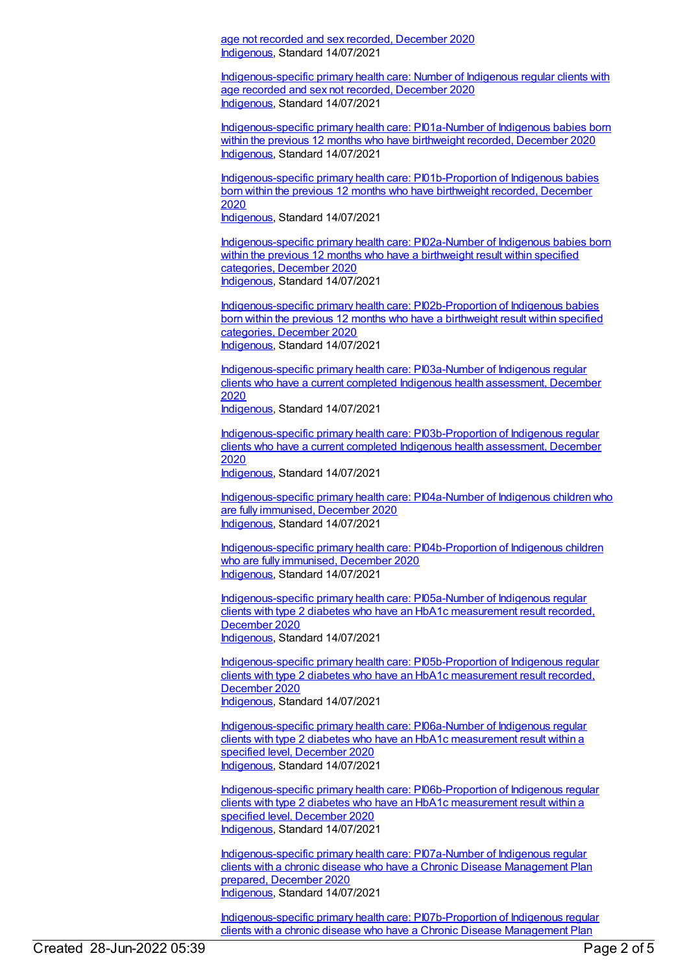age not recorded and sex recorded, December 2020 [Indigenous](https://meteor.aihw.gov.au/RegistrationAuthority/6), Standard 14/07/2021

[Indigenous-specific](https://meteor.aihw.gov.au/content/742541) primary health care: Number of Indigenous regular clients with age recorded and sex not recorded, December 2020 [Indigenous](https://meteor.aihw.gov.au/RegistrationAuthority/6), Standard 14/07/2021

[Indigenous-specific](https://meteor.aihw.gov.au/content/739294) primary health care: PI01a-Number of Indigenous babies born within the previous 12 months who have birthweight recorded, December 2020 [Indigenous](https://meteor.aihw.gov.au/RegistrationAuthority/6), Standard 14/07/2021

[Indigenous-specific](https://meteor.aihw.gov.au/content/739299) primary health care: PI01b-Proportion of Indigenous babies born within the previous 12 months who have birthweight recorded, December 2020 [Indigenous](https://meteor.aihw.gov.au/RegistrationAuthority/6), Standard 14/07/2021

[Indigenous-specific](https://meteor.aihw.gov.au/content/739305) primary health care: PI02a-Number of Indigenous babies born within the previous 12 months who have a birthweight result within specified categories, December 2020 [Indigenous](https://meteor.aihw.gov.au/RegistrationAuthority/6), Standard 14/07/2021

[Indigenous-specific](https://meteor.aihw.gov.au/content/739308) primary health care: PI02b-Proportion of Indigenous babies born within the previous 12 months who have a birthweight result within specified categories, December 2020 [Indigenous](https://meteor.aihw.gov.au/RegistrationAuthority/6), Standard 14/07/2021

[Indigenous-specific](https://meteor.aihw.gov.au/content/731791) primary health care: PI03a-Number of Indigenous regular clients who have a current completed Indigenous health assessment, December 2020

[Indigenous](https://meteor.aihw.gov.au/RegistrationAuthority/6), Standard 14/07/2021

[Indigenous-specific](https://meteor.aihw.gov.au/content/731804) primary health care: PI03b-Proportion of Indigenous regular clients who have a current completed Indigenous health assessment, December 2020

[Indigenous](https://meteor.aihw.gov.au/RegistrationAuthority/6), Standard 14/07/2021

[Indigenous-specific](https://meteor.aihw.gov.au/content/739311) primary health care: PI04a-Number of Indigenous children who are fully immunised, December 2020 [Indigenous](https://meteor.aihw.gov.au/RegistrationAuthority/6), Standard 14/07/2021

[Indigenous-specific](https://meteor.aihw.gov.au/content/739342) primary health care: PI04b-Proportion of Indigenous children who are fully immunised, December 2020 [Indigenous](https://meteor.aihw.gov.au/RegistrationAuthority/6), Standard 14/07/2021

[Indigenous-specific](https://meteor.aihw.gov.au/content/739345) primary health care: PI05a-Number of Indigenous regular clients with type 2 diabetes who have an HbA1c measurement result recorded, December 2020 [Indigenous](https://meteor.aihw.gov.au/RegistrationAuthority/6), Standard 14/07/2021

[Indigenous-specific](https://meteor.aihw.gov.au/content/739347) primary health care: PI05b-Proportion of Indigenous regular clients with type 2 diabetes who have an HbA1c measurement result recorded, December 2020 [Indigenous](https://meteor.aihw.gov.au/RegistrationAuthority/6), Standard 14/07/2021

[Indigenous-specific](https://meteor.aihw.gov.au/content/739351) primary health care: PI06a-Number of Indigenous regular clients with type 2 diabetes who have an HbA1c measurement result within a specified level, December 2020 [Indigenous](https://meteor.aihw.gov.au/RegistrationAuthority/6), Standard 14/07/2021

[Indigenous-specific](https://meteor.aihw.gov.au/content/739353) primary health care: PI06b-Proportion of Indigenous regular clients with type 2 diabetes who have an HbA1c measurement result within a specified level, December 2020 [Indigenous](https://meteor.aihw.gov.au/RegistrationAuthority/6), Standard 14/07/2021

[Indigenous-specific](https://meteor.aihw.gov.au/content/731823) primary health care: PI07a-Number of Indigenous regular clients with a chronic disease who have a Chronic Disease Management Plan prepared, December 2020 [Indigenous](https://meteor.aihw.gov.au/RegistrationAuthority/6), Standard 14/07/2021

[Indigenous-specific](https://meteor.aihw.gov.au/content/731846) primary health care: PI07b-Proportion of Indigenous regular clients with a chronic disease who have a Chronic Disease Management Plan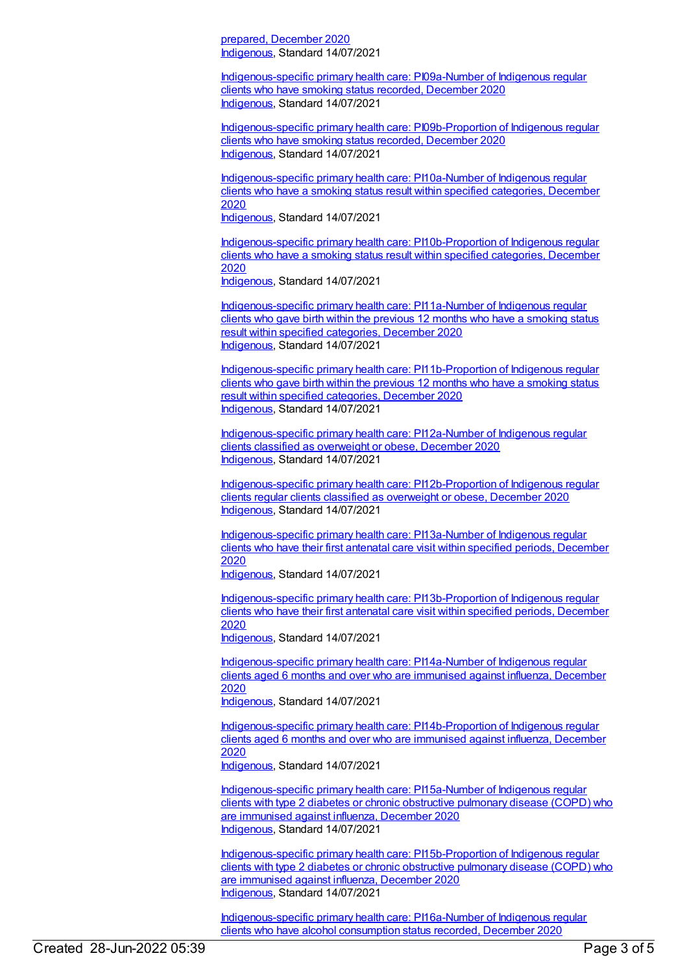prepared, December 2020 [Indigenous](https://meteor.aihw.gov.au/RegistrationAuthority/6), Standard 14/07/2021

[Indigenous-specific](https://meteor.aihw.gov.au/content/739361) primary health care: PI09a-Number of Indigenous regular clients who have smoking status recorded, December 2020 [Indigenous](https://meteor.aihw.gov.au/RegistrationAuthority/6), Standard 14/07/2021

[Indigenous-specific](https://meteor.aihw.gov.au/content/739363) primary health care: PI09b-Proportion of Indigenous regular clients who have smoking status recorded, December 2020 [Indigenous](https://meteor.aihw.gov.au/RegistrationAuthority/6), Standard 14/07/2021

[Indigenous-specific](https://meteor.aihw.gov.au/content/739370) primary health care: PI10a-Number of Indigenous regular clients who have a smoking status result within specified categories, December 2020 [Indigenous](https://meteor.aihw.gov.au/RegistrationAuthority/6), Standard 14/07/2021

[Indigenous-specific](https://meteor.aihw.gov.au/content/739372) primary health care: PI10b-Proportion of Indigenous regular clients who have a smoking status result within specified categories, December 2020 [Indigenous](https://meteor.aihw.gov.au/RegistrationAuthority/6), Standard 14/07/2021

[Indigenous-specific](https://meteor.aihw.gov.au/content/739375) primary health care: PI11a-Number of Indigenous regular clients who gave birth within the previous 12 months who have a smoking status result within specified categories, December 2020 [Indigenous](https://meteor.aihw.gov.au/RegistrationAuthority/6), Standard 14/07/2021

[Indigenous-specific](https://meteor.aihw.gov.au/content/739380) primary health care: PI11b-Proportion of Indigenous regular clients who gave birth within the previous 12 months who have a smoking status result within specified categories, December 2020 [Indigenous](https://meteor.aihw.gov.au/RegistrationAuthority/6), Standard 14/07/2021

[Indigenous-specific](https://meteor.aihw.gov.au/content/739384) primary health care: PI12a-Number of Indigenous regular clients classified as overweight or obese, December 2020 [Indigenous](https://meteor.aihw.gov.au/RegistrationAuthority/6), Standard 14/07/2021

[Indigenous-specific](https://meteor.aihw.gov.au/content/739386) primary health care: PI12b-Proportion of Indigenous regular clients regular clients classified as overweight or obese, December 2020 [Indigenous](https://meteor.aihw.gov.au/RegistrationAuthority/6), Standard 14/07/2021

[Indigenous-specific](https://meteor.aihw.gov.au/content/739389) primary health care: PI13a-Number of Indigenous regular clients who have their first antenatal care visit within specified periods, December 2020

[Indigenous](https://meteor.aihw.gov.au/RegistrationAuthority/6), Standard 14/07/2021

[Indigenous-specific](https://meteor.aihw.gov.au/content/739391) primary health care: PI13b-Proportion of Indigenous regular clients who have their first antenatal care visit within specified periods, December 2020

[Indigenous](https://meteor.aihw.gov.au/RegistrationAuthority/6), Standard 14/07/2021

[Indigenous-specific](https://meteor.aihw.gov.au/content/731851) primary health care: PI14a-Number of Indigenous regular clients aged 6 months and over who are immunised against influenza, December 2020

[Indigenous](https://meteor.aihw.gov.au/RegistrationAuthority/6), Standard 14/07/2021

[Indigenous-specific](https://meteor.aihw.gov.au/content/731856) primary health care: PI14b-Proportion of Indigenous regular clients aged 6 months and over who are immunised against influenza, December 2020 [Indigenous](https://meteor.aihw.gov.au/RegistrationAuthority/6), Standard 14/07/2021

[Indigenous-specific](https://meteor.aihw.gov.au/content/739397) primary health care: PI15a-Number of Indigenous regular clients with type 2 diabetes or chronic obstructive pulmonary disease (COPD) who are immunised against influenza, December 2020 [Indigenous](https://meteor.aihw.gov.au/RegistrationAuthority/6), Standard 14/07/2021

[Indigenous-specific](https://meteor.aihw.gov.au/content/739399) primary health care: PI15b-Proportion of Indigenous regular clients with type 2 diabetes or chronic obstructive pulmonary disease (COPD) who are immunised against influenza, December 2020 [Indigenous](https://meteor.aihw.gov.au/RegistrationAuthority/6), Standard 14/07/2021

[Indigenous-specific](https://meteor.aihw.gov.au/content/739402) primary health care: PI16a-Number of Indigenous regular clients who have alcohol consumption status recorded, December 2020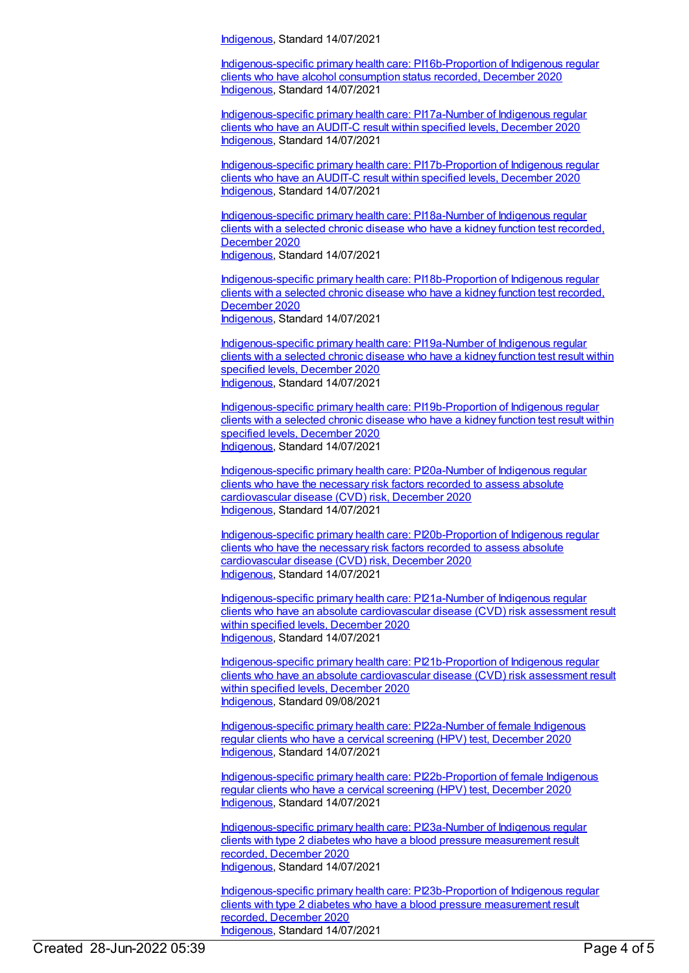[Indigenous](https://meteor.aihw.gov.au/RegistrationAuthority/6), Standard 14/07/2021

[Indigenous-specific](https://meteor.aihw.gov.au/content/739405) primary health care: PI16b-Proportion of Indigenous regular clients who have alcohol consumption status recorded, December 2020 [Indigenous](https://meteor.aihw.gov.au/RegistrationAuthority/6), Standard 14/07/2021

[Indigenous-specific](https://meteor.aihw.gov.au/content/739423) primary health care: PI17a-Number of Indigenous regular clients who have an AUDIT-C result within specified levels, December 2020 [Indigenous](https://meteor.aihw.gov.au/RegistrationAuthority/6), Standard 14/07/2021

[Indigenous-specific](https://meteor.aihw.gov.au/content/739426) primary health care: PI17b-Proportion of Indigenous regular clients who have an AUDIT-C result within specified levels, December 2020 [Indigenous](https://meteor.aihw.gov.au/RegistrationAuthority/6), Standard 14/07/2021

[Indigenous-specific](https://meteor.aihw.gov.au/content/739436) primary health care: PI18a-Number of Indigenous regular clients with a selected chronic disease who have a kidney function test recorded, December 2020 [Indigenous](https://meteor.aihw.gov.au/RegistrationAuthority/6), Standard 14/07/2021

[Indigenous-specific](https://meteor.aihw.gov.au/content/739438) primary health care: PI18b-Proportion of Indigenous regular clients with a selected chronic disease who have a kidney function test recorded, December 2020 [Indigenous](https://meteor.aihw.gov.au/RegistrationAuthority/6), Standard 14/07/2021

[Indigenous-specific](https://meteor.aihw.gov.au/content/739450) primary health care: PI19a-Number of Indigenous regular clients with a selected chronic disease who have a kidney function test result within specified levels, December 2020 [Indigenous](https://meteor.aihw.gov.au/RegistrationAuthority/6), Standard 14/07/2021

[Indigenous-specific](https://meteor.aihw.gov.au/content/739454) primary health care: PI19b-Proportion of Indigenous regular clients with a selected chronic disease who have a kidney function test result within specified levels, December 2020 [Indigenous](https://meteor.aihw.gov.au/RegistrationAuthority/6), Standard 14/07/2021

[Indigenous-specific](https://meteor.aihw.gov.au/content/739463) primary health care: PI20a-Number of Indigenous regular clients who have the necessary risk factors recorded to assess absolute cardiovascular disease (CVD) risk, December 2020 [Indigenous](https://meteor.aihw.gov.au/RegistrationAuthority/6), Standard 14/07/2021

[Indigenous-specific](https://meteor.aihw.gov.au/content/739465) primary health care: PI20b-Proportion of Indigenous regular clients who have the necessary risk factors recorded to assess absolute cardiovascular disease (CVD) risk, December 2020 [Indigenous](https://meteor.aihw.gov.au/RegistrationAuthority/6), Standard 14/07/2021

[Indigenous-specific](https://meteor.aihw.gov.au/content/739468) primary health care: PI21a-Number of Indigenous regular clients who have an absolute cardiovascular disease (CVD) risk assessment result within specified levels, December 2020 [Indigenous](https://meteor.aihw.gov.au/RegistrationAuthority/6), Standard 14/07/2021

[Indigenous-specific](https://meteor.aihw.gov.au/content/739470) primary health care: PI21b-Proportion of Indigenous regular clients who have an absolute cardiovascular disease (CVD) risk assessment result within specified levels, December 2020 [Indigenous](https://meteor.aihw.gov.au/RegistrationAuthority/6), Standard 09/08/2021

[Indigenous-specific](https://meteor.aihw.gov.au/content/731858) primary health care: PI22a-Number of female Indigenous regular clients who have a cervical screening (HPV) test, December 2020 [Indigenous](https://meteor.aihw.gov.au/RegistrationAuthority/6), Standard 14/07/2021

[Indigenous-specific](https://meteor.aihw.gov.au/content/731863) primary health care: PI22b-Proportion of female Indigenous regular clients who have a cervical screening (HPV) test, December 2020 [Indigenous](https://meteor.aihw.gov.au/RegistrationAuthority/6), Standard 14/07/2021

[Indigenous-specific](https://meteor.aihw.gov.au/content/739474) primary health care: PI23a-Number of Indigenous regular clients with type 2 diabetes who have a blood pressure measurement result recorded, December 2020 [Indigenous](https://meteor.aihw.gov.au/RegistrationAuthority/6), Standard 14/07/2021

[Indigenous-specific](https://meteor.aihw.gov.au/content/739478) primary health care: PI23b-Proportion of Indigenous regular clients with type 2 diabetes who have a blood pressure measurement result recorded, December 2020 [Indigenous](https://meteor.aihw.gov.au/RegistrationAuthority/6), Standard 14/07/2021